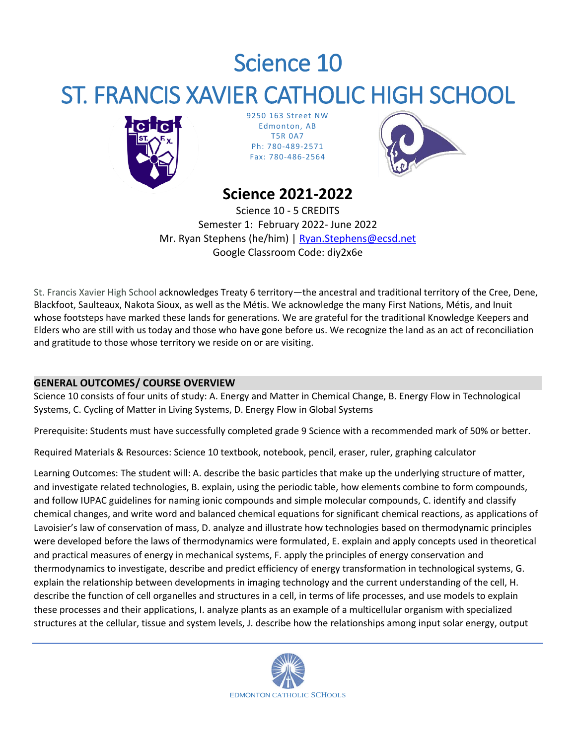# Science 10 ST. FRANCIS XAVIER CATHOLIC HIGH SCHOOL



9250 163 Street NW Edmonton, AB T5R 0A7 Ph: 780-489-2571 Fax: 780-486-2564



# **Science 2021-2022**

Science 10 - 5 CREDITS Semester 1: February 2022- June 2022 Mr. Ryan Stephens (he/him) | [Ryan.Stephens@ecsd.net](mailto:Ryan.Stephens@ecsd.net) Google Classroom Code: diy2x6e

St. Francis Xavier High School acknowledges Treaty 6 territory—the ancestral and traditional territory of the Cree, Dene, Blackfoot, Saulteaux, Nakota Sioux, as well as the Métis. We acknowledge the many First Nations, Métis, and Inuit whose footsteps have marked these lands for generations. We are grateful for the traditional Knowledge Keepers and Elders who are still with us today and those who have gone before us. We recognize the land as an act of reconciliation and gratitude to those whose territory we reside on or are visiting.

# **GENERAL OUTCOMES/ COURSE OVERVIEW**

Science 10 consists of four units of study: A. Energy and Matter in Chemical Change, B. Energy Flow in Technological Systems, C. Cycling of Matter in Living Systems, D. Energy Flow in Global Systems

Prerequisite: Students must have successfully completed grade 9 Science with a recommended mark of 50% or better.

Required Materials & Resources: Science 10 textbook, notebook, pencil, eraser, ruler, graphing calculator

Learning Outcomes: The student will: A. describe the basic particles that make up the underlying structure of matter, and investigate related technologies, B. explain, using the periodic table, how elements combine to form compounds, and follow IUPAC guidelines for naming ionic compounds and simple molecular compounds, C. identify and classify chemical changes, and write word and balanced chemical equations for significant chemical reactions, as applications of Lavoisier's law of conservation of mass, D. analyze and illustrate how technologies based on thermodynamic principles were developed before the laws of thermodynamics were formulated, E. explain and apply concepts used in theoretical and practical measures of energy in mechanical systems, F. apply the principles of energy conservation and thermodynamics to investigate, describe and predict efficiency of energy transformation in technological systems, G. explain the relationship between developments in imaging technology and the current understanding of the cell, H. describe the function of cell organelles and structures in a cell, in terms of life processes, and use models to explain these processes and their applications, I. analyze plants as an example of a multicellular organism with specialized structures at the cellular, tissue and system levels, J. describe how the relationships among input solar energy, output

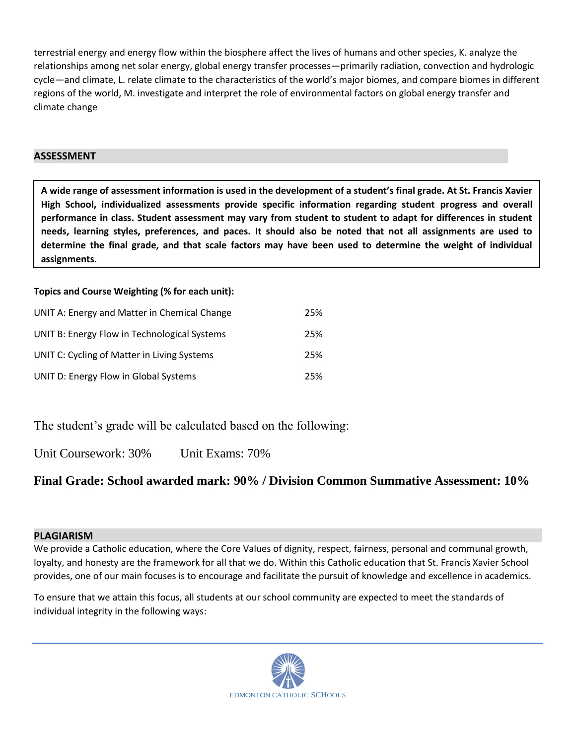terrestrial energy and energy flow within the biosphere affect the lives of humans and other species, K. analyze the relationships among net solar energy, global energy transfer processes—primarily radiation, convection and hydrologic cycle—and climate, L. relate climate to the characteristics of the world's major biomes, and compare biomes in different regions of the world, M. investigate and interpret the role of environmental factors on global energy transfer and climate change

#### **ASSESSMENT**

**A wide range of assessment information is used in the development of a student's final grade. At St. Francis Xavier High School, individualized assessments provide specific information regarding student progress and overall performance in class. Student assessment may vary from student to student to adapt for differences in student needs, learning styles, preferences, and paces. It should also be noted that not all assignments are used to determine the final grade, and that scale factors may have been used to determine the weight of individual assignments.**

# **Topics and Course Weighting (% for each unit):**

| UNIT A: Energy and Matter in Chemical Change | 25% |
|----------------------------------------------|-----|
| UNIT B: Energy Flow in Technological Systems | 25% |
| UNIT C: Cycling of Matter in Living Systems  | 25% |
| UNIT D: Energy Flow in Global Systems        | 25% |

# The student's grade will be calculated based on the following:

Unit Coursework: 30% Unit Exams: 70%

# **Final Grade: School awarded mark: 90% / Division Common Summative Assessment: 10%**

#### **PLAGIARISM**

We provide a Catholic education, where the Core Values of dignity, respect, fairness, personal and communal growth, loyalty, and honesty are the framework for all that we do. Within this Catholic education that St. Francis Xavier School provides, one of our main focuses is to encourage and facilitate the pursuit of knowledge and excellence in academics.

To ensure that we attain this focus, all students at our school community are expected to meet the standards of individual integrity in the following ways: